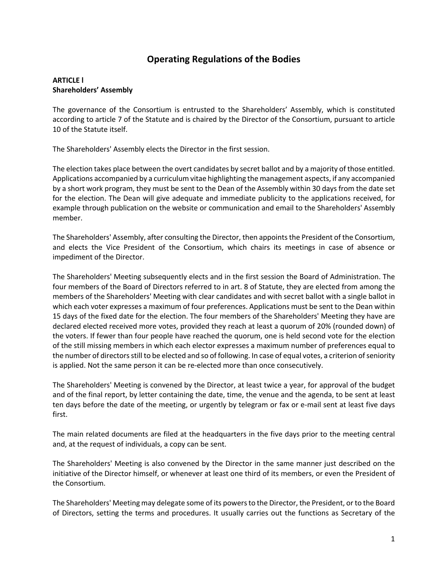# **Operating Regulations of the Bodies**

### **ARTICLE l Shareholders' Assembly**

The governance of the Consortium is entrusted to the Shareholders' Assembly, which is constituted according to article 7 of the Statute and is chaired by the Director of the Consortium, pursuant to article 10 of the Statute itself.

The Shareholders' Assembly elects the Director in the first session.

The election takes place between the overt candidates by secret ballot and by a majority of those entitled. Applications accompanied by a curriculum vitae highlighting the management aspects, if any accompanied by a short work program, they must be sent to the Dean of the Assembly within 30 days from the date set for the election. The Dean will give adequate and immediate publicity to the applications received, for example through publication on the website or communication and email to the Shareholders' Assembly member.

The Shareholders' Assembly, after consulting the Director, then appoints the President of the Consortium, and elects the Vice President of the Consortium, which chairs its meetings in case of absence or impediment of the Director.

The Shareholders' Meeting subsequently elects and in the first session the Board of Administration. The four members of the Board of Directors referred to in art. 8 of Statute, they are elected from among the members of the Shareholders' Meeting with clear candidates and with secret ballot with a single ballot in which each voter expresses a maximum of four preferences. Applications must be sent to the Dean within 15 days of the fixed date for the election. The four members of the Shareholders' Meeting they have are declared elected received more votes, provided they reach at least a quorum of 20% (rounded down) of the voters. If fewer than four people have reached the quorum, one is held second vote for the election of the still missing members in which each elector expresses a maximum number of preferences equal to the number of directors still to be elected and so of following. In case of equal votes, a criterion of seniority is applied. Not the same person it can be re-elected more than once consecutively.

The Shareholders' Meeting is convened by the Director, at least twice a year, for approval of the budget and of the final report, by letter containing the date, time, the venue and the agenda, to be sent at least ten days before the date of the meeting, or urgently by telegram or fax or e-mail sent at least five days first.

The main related documents are filed at the headquarters in the five days prior to the meeting central and, at the request of individuals, a copy can be sent.

The Shareholders' Meeting is also convened by the Director in the same manner just described on the initiative of the Director himself, or whenever at least one third of its members, or even the President of the Consortium.

The Shareholders' Meeting may delegate some of its powers to the Director, the President, or to the Board of Directors, setting the terms and procedures. It usually carries out the functions as Secretary of the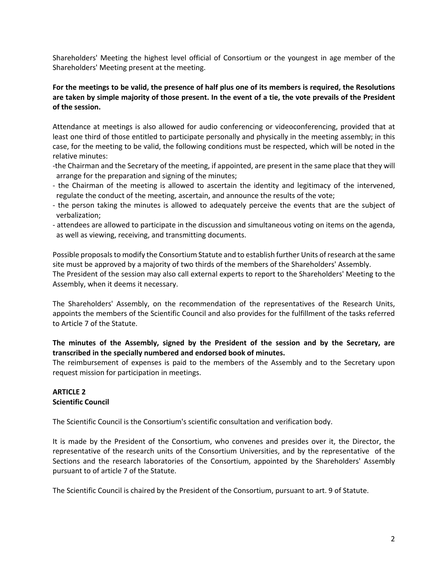Shareholders' Meeting the highest level official of Consortium or the youngest in age member of the Shareholders' Meeting present at the meeting.

### **For the meetings to be valid, the presence of half plus one of its members is required, the Resolutions are taken by simple majority of those present. In the event of a tie, the vote prevails of the President of the session.**

Attendance at meetings is also allowed for audio conferencing or videoconferencing, provided that at least one third of those entitled to participate personally and physically in the meeting assembly; in this case, for the meeting to be valid, the following conditions must be respected, which will be noted in the relative minutes:

- -the Chairman and the Secretary of the meeting, if appointed, are present in the same place that they will arrange for the preparation and signing of the minutes;
- the Chairman of the meeting is allowed to ascertain the identity and legitimacy of the intervened, regulate the conduct of the meeting, ascertain, and announce the results of the vote;
- the person taking the minutes is allowed to adequately perceive the events that are the subject of verbalization;
- attendees are allowed to participate in the discussion and simultaneous voting on items on the agenda, as well as viewing, receiving, and transmitting documents.

Possible proposals to modify the Consortium Statute and to establish further Units of research at the same site must be approved by a majority of two thirds of the members of the Shareholders' Assembly. The President of the session may also call external experts to report to the Shareholders' Meeting to the Assembly, when it deems it necessary.

The Shareholders' Assembly, on the recommendation of the representatives of the Research Units, appoints the members of the Scientific Council and also provides for the fulfillment of the tasks referred to Article 7 of the Statute.

### **The minutes of the Assembly, signed by the President of the session and by the Secretary, are transcribed in the specially numbered and endorsed book of minutes.**

The reimbursement of expenses is paid to the members of the Assembly and to the Secretary upon request mission for participation in meetings.

#### **ARTICLE 2 Scientific Council**

The Scientific Council is the Consortium's scientific consultation and verification body.

It is made by the President of the Consortium, who convenes and presides over it, the Director, the representative of the research units of the Consortium Universities, and by the representative of the Sections and the research laboratories of the Consortium, appointed by the Shareholders' Assembly pursuant to of article 7 of the Statute.

The Scientific Council is chaired by the President of the Consortium, pursuant to art. 9 of Statute.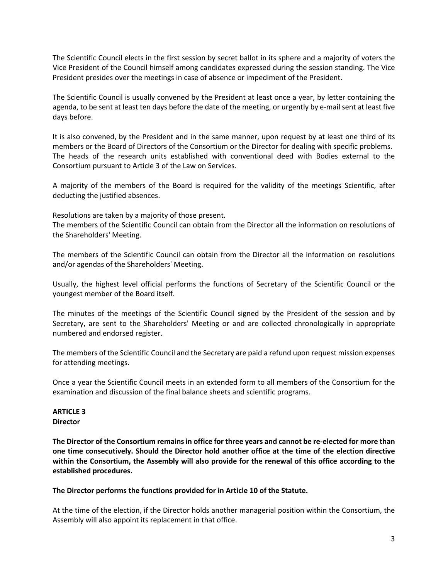The Scientific Council elects in the first session by secret ballot in its sphere and a majority of voters the Vice President of the Council himself among candidates expressed during the session standing. The Vice President presides over the meetings in case of absence or impediment of the President.

The Scientific Council is usually convened by the President at least once a year, by letter containing the agenda, to be sent at least ten days before the date of the meeting, or urgently by e-mail sent at least five days before.

It is also convened, by the President and in the same manner, upon request by at least one third of its members or the Board of Directors of the Consortium or the Director for dealing with specific problems. The heads of the research units established with conventional deed with Bodies external to the Consortium pursuant to Article 3 of the Law on Services.

A majority of the members of the Board is required for the validity of the meetings Scientific, after deducting the justified absences.

Resolutions are taken by a majority of those present.

The members of the Scientific Council can obtain from the Director all the information on resolutions of the Shareholders' Meeting.

The members of the Scientific Council can obtain from the Director all the information on resolutions and/or agendas of the Shareholders' Meeting.

Usually, the highest level official performs the functions of Secretary of the Scientific Council or the youngest member of the Board itself.

The minutes of the meetings of the Scientific Council signed by the President of the session and by Secretary, are sent to the Shareholders' Meeting or and are collected chronologically in appropriate numbered and endorsed register.

The members of the Scientific Council and the Secretary are paid a refund upon request mission expenses for attending meetings.

Once a year the Scientific Council meets in an extended form to all members of the Consortium for the examination and discussion of the final balance sheets and scientific programs.

#### **ARTICLE 3 Director**

**The Director of the Consortium remains in office for three years and cannot be re-elected for more than one time consecutively. Should the Director hold another office at the time of the election directive within the Consortium, the Assembly will also provide for the renewal of this office according to the established procedures.**

#### **The Director performs the functions provided for in Article 10 of the Statute.**

At the time of the election, if the Director holds another managerial position within the Consortium, the Assembly will also appoint its replacement in that office.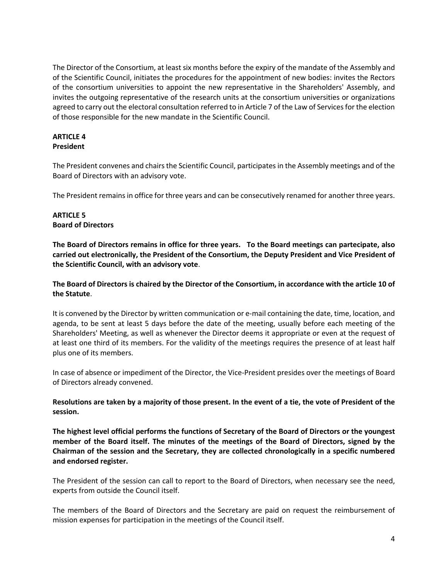The Director of the Consortium, at least six months before the expiry of the mandate of the Assembly and of the Scientific Council, initiates the procedures for the appointment of new bodies: invites the Rectors of the consortium universities to appoint the new representative in the Shareholders' Assembly, and invites the outgoing representative of the research units at the consortium universities or organizations agreed to carry out the electoral consultation referred to in Article 7 of the Law of Services for the election of those responsible for the new mandate in the Scientific Council.

#### **ARTICLE 4 President**

The President convenes and chairs the Scientific Council, participates in the Assembly meetings and of the Board of Directors with an advisory vote.

The President remains in office for three years and can be consecutively renamed for another three years.

### **ARTICLE 5 Board of Directors**

**The Board of Directors remains in office for three years. To the Board meetings can partecipate, also carried out electronically, the President of the Consortium, the Deputy President and Vice President of the Scientific Council, with an advisory vote**.

**The Board of Directors is chaired by the Director of the Consortium, in accordance with the article 10 of the Statute**.

It is convened by the Director by written communication or e-mail containing the date, time, location, and agenda, to be sent at least 5 days before the date of the meeting, usually before each meeting of the Shareholders' Meeting, as well as whenever the Director deems it appropriate or even at the request of at least one third of its members. For the validity of the meetings requires the presence of at least half plus one of its members.

In case of absence or impediment of the Director, the Vice-President presides over the meetings of Board of Directors already convened.

**Resolutions are taken by a majority of those present. In the event of a tie, the vote of President of the session.**

**The highest level official performs the functions of Secretary of the Board of Directors or the youngest member of the Board itself. The minutes of the meetings of the Board of Directors, signed by the Chairman of the session and the Secretary, they are collected chronologically in a specific numbered and endorsed register.**

The President of the session can call to report to the Board of Directors, when necessary see the need, experts from outside the Council itself.

The members of the Board of Directors and the Secretary are paid on request the reimbursement of mission expenses for participation in the meetings of the Council itself.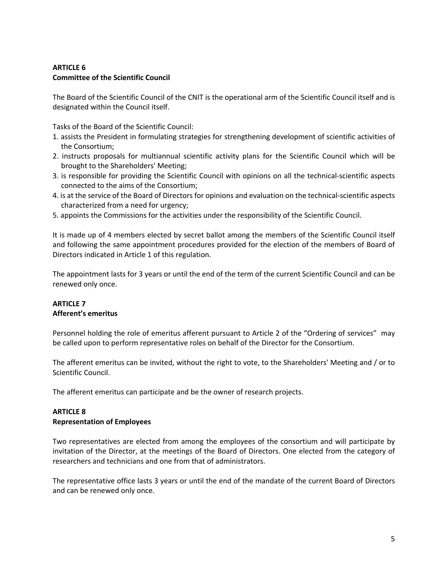# **ARTICLE 6 Committee of the Scientific Council**

The Board of the Scientific Council of the CNIT is the operational arm of the Scientific Council itself and is designated within the Council itself.

Tasks of the Board of the Scientific Council:

- 1. assists the President in formulating strategies for strengthening development of scientific activities of the Consortium;
- 2. instructs proposals for multiannual scientific activity plans for the Scientific Council which will be brought to the Shareholders' Meeting;
- 3. is responsible for providing the Scientific Council with opinions on all the technical-scientific aspects connected to the aims of the Consortium;
- 4. is at the service of the Board of Directors for opinions and evaluation on the technical-scientific aspects characterized from a need for urgency;
- 5. appoints the Commissions for the activities under the responsibility of the Scientific Council.

It is made up of 4 members elected by secret ballot among the members of the Scientific Council itself and following the same appointment procedures provided for the election of the members of Board of Directors indicated in Article 1 of this regulation.

The appointment lasts for 3 years or until the end of the term of the current Scientific Council and can be renewed only once.

# **ARTICLE 7 Afferent's emeritus**

Personnel holding the role of emeritus afferent pursuant to Article 2 of the "Ordering of services" may be called upon to perform representative roles on behalf of the Director for the Consortium.

The afferent emeritus can be invited, without the right to vote, to the Shareholders' Meeting and / or to Scientific Council.

The afferent emeritus can participate and be the owner of research projects.

### **ARTICLE 8 Representation of Employees**

Two representatives are elected from among the employees of the consortium and will participate by invitation of the Director, at the meetings of the Board of Directors. One elected from the category of researchers and technicians and one from that of administrators.

The representative office lasts 3 years or until the end of the mandate of the current Board of Directors and can be renewed only once.